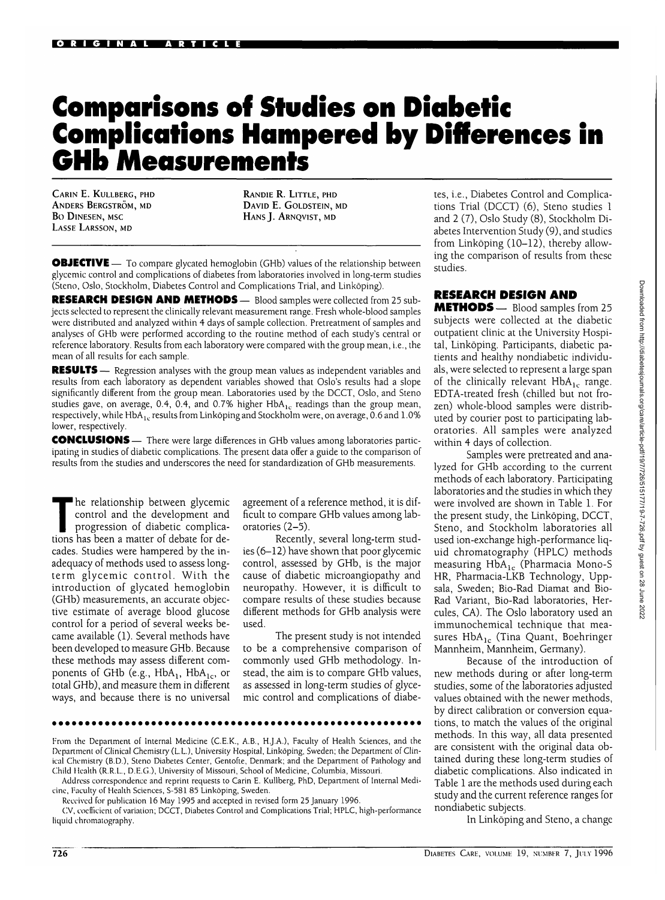## **Comparisons of Studies on Diabetic Complications Hampered by Differences in GHb Measurements**

CARIN E. KULLBERG, PHD ANDERS BERGSTRÖM, MD Bo DlNESEN, MSC LASSE LARSSON, MD

RANDIE R. LITTLE, PHD DAVID E. GOLDSTEIN, MD HANS J. ARNQVIST, MD

**OBJECTIVE** — To compare glycated hemoglobin (GHb) values of the relationship between glycemic control and complications of diabetes from laboratories involved in long-term studies (Steno, Oslo, Stockholm, Diabetes Control and Complications Trial, and Linkoping).

**RESEARCH DESIGN AND METHODS—** Blood samples were collected from 25 subjects selected to represent the clinically relevant measurement range. Fresh whole-blood samples were distributed and analyzed within 4 days of sample collection. Pretreatment of samples and analyses of GHb were performed according to the routine method of each study's central or reference laboratory. Results from each laboratory were compared with the group mean, i.e., the mean of all results for each sample.

**RESULTS** — Regression analyses with the group mean values as independent variables and results from each laboratory as dependent variables showed that Oslo's results had a slope significantly different from the group mean. Laboratories used by the DCCT, Oslo, and Steno studies gave, on average, 0.4, 0.4, and 0.7% higher  $HbA_{1c}$  readings than the group mean, respectively, while HbA<sub>1c</sub> results from Linkoping and Stockholm were, on average, 0.6 and 1.0% lower, respectively.

**CONCLUSIONS** — There were large differences in GHb values among laboratories participating in studies of diabetic complications. The present data offer a guide to the comparison of results from the studies and underscores the need for standardization of GHb measurements.

The relationship between glycemic<br>control and the development and<br>progression of diabetic complica-<br>tions has been a matter of debate for decontrol and the development and progression of diabetic complications has been a matter of debate for decades. Studies were hampered by the inadequacy of methods used to assess longterm glycemic control. With the introduction of glycated hemoglobin (GHb) measurements, an accurate objective estimate of average blood glucose control for a period of several weeks became available (1). Several methods have been developed to measure GHb. Because these methods may assess different components of GHb (e.g.,  $HbA_1$ ,  $HbA_1$ <sub>c</sub>, or total GHb), and measure them in different ways, and because there is no universal

agreement of a reference method, it is difficult to compare GHb values among laboratories (2-5).

Recently, several long-term studies (6-12) have shown that poor glycemic control, assessed by GHb, is the major cause of diabetic microangiopathy and neuropathy. However, it is difficult to compare results of these studies because different methods for GHb analysis were used.

The present study is not intended to be a comprehensive comparison of commonly used GHb methodology. Instead, the aim is to compare GHb values, as assessed in long-term studies of glycemic control and complications of diabe-

From the Department of Internal Medicine (C.E.K., A.B., H.J.A.), Faculty of Health Sciences, and the Department of Clinical Chemistry (L.L.), University Hospital, Linkoping, Sweden; the Department of Clinical Chemistry (B.D.), Steno Diabetes Center, Gentofte, Denmark; and the Department of Pathology and Child Health (R.R.L., D.E.G.), University of Missouri, School of Medicine, Columbia, Missouri.

Address correspondence and reprint requests to Carin E. Kullberg, PhD, Department of Internal Medicine, Faculty of Health Sciences, S-581 85 Linkoping, Sweden.

Received for publication 16 May 1995 and accepted in revised form 25 January 1996.

CV, coefficient of variation; DCCT, Diabetes Control and Complications Trial; HPLC, high-performance liquid chromatography.

tes, i.e., Diabetes Control and Complications Trial (DCCT) (6), Steno studies 1 and 2 (7), Oslo Study (8), Stockholm Diabetes Intervention Study (9), and studies from Linkoping (10-12), thereby allowing the comparison of results from these studies.

## RESEARCH DESIGN AND

METHODS— Blood samples from 25 subjects were collected at the diabetic outpatient clinic at the University Hospital, Linkoping. Participants, diabetic patients and healthy nondiabetic individuals, were selected to represent a large span of the clinically relevant  $HbA_{1c}$  range. EDTA-treated fresh (chilled but not frozen) whole-blood samples were distributed by courier post to participating laboratories. All samples were analyzed within 4 days of collection.

Samples were pretreated and analyzed for GHb according to the current methods of each laboratory. Participating laboratories and the studies in which they were involved are shown in Table 1. For the present study, the Linkoping, DCCT, Steno, and Stockholm laboratories all used ion-exchange high-performance liquid chromatography (HPLC) methods measuring  $HbA_{1c}$  (Pharmacia Mono-S HR, Pharmacia-LKB Technology, Uppsala, Sweden; Bio-Rad Diamat and Bio-Rad Variant, Bio-Rad laboratories, Hercules, CA). The Oslo laboratory used an immunochemical technique that measures  $HbA_{1c}$  (Tina Quant, Boehringer Mannheim, Mannheim, Germany).

Because of the introduction of new methods during or after long-term studies, some of the laboratories adjusted values obtained with the newer methods, by direct calibration or conversion equations, to match the values of the original methods. In this way, all data presented are consistent with the original data obtained during these long-term studies of diabetic complications. Also indicated in Table 1 are the methods used during each study and the current reference ranges for nondiabetic subjects.

In Linkoping and Steno, a change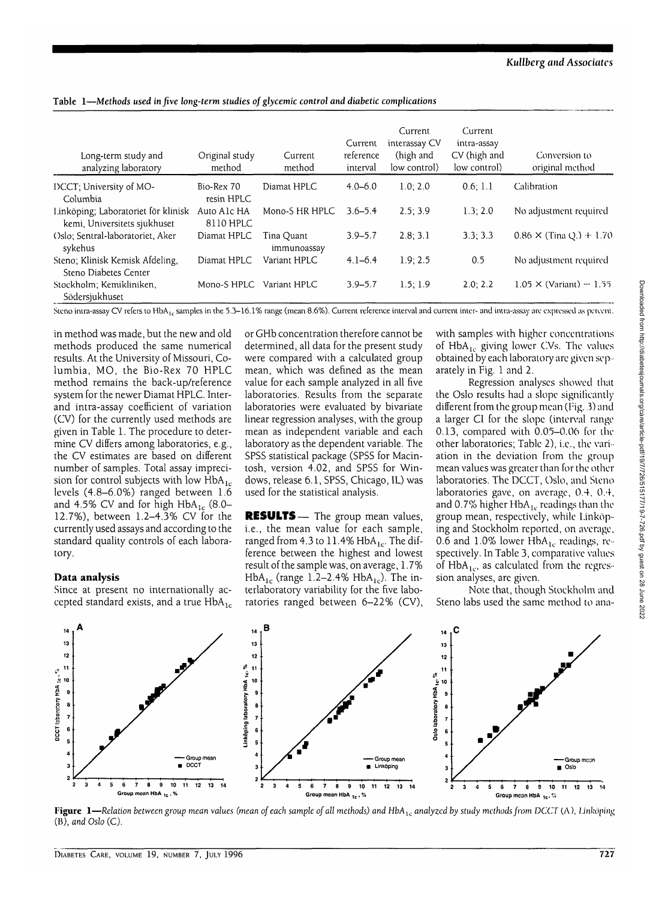| Long-term study and<br>analyzing laboratory                         | Original study<br>method | Current<br>method         | Current<br>reference<br>interval | Current<br>interassay CV<br>(high and<br>low control) | Current<br>intra-assay<br>CV (high and<br>low control) | Conversion to<br>original method  |
|---------------------------------------------------------------------|--------------------------|---------------------------|----------------------------------|-------------------------------------------------------|--------------------------------------------------------|-----------------------------------|
| DCCT; University of MO-<br>Columbia                                 | Bio-Rex 70<br>resin HPLC | Diamat HPLC               | $4.0 - 6.0$                      | 1.0; 2.0                                              | 0.6:1.1                                                | Calibration                       |
| Linköping; Laboratoriet för klinisk<br>kemi, Universitets sjukhuset | Auto A1c HA<br>8110 HPLC | Mono-S HR HPLC            | $3.6 - 5.4$                      | 2.5:3.9                                               | 1.3:2.0                                                | No adjustment required            |
| Oslo: Sentral-laboratoriet, Aker<br>sykehus                         | Diamat HPLC              | Tina Quant<br>immunoassay | $3.9 - 5.7$                      | 2.8; 3.1                                              | 3.3; 3.3                                               | $0.86 \times (T$ ina Q $) + 1.70$ |
| Steno; Klinisk Kemisk Afdeling,<br>Steno Diabetes Center            | Diamat HPLC              | Variant HPLC              | $4.1 - 6.4$                      | 1.9:2.5                                               | 0.5                                                    | No adjustment required            |
| Stockholm; Kemikliniken,<br>Södersjukhuset                          | Mono-S HPLC              | Variant HPLC              | $3.9 - 5.7$                      | 1.5:1.9                                               | 2.0:2.2                                                | $1.05 \times (Variant) - 1.55$    |

**Table 1—Methods** *used in five long-term studies of glycemic control and diabetic complications*

Steno intra-assay CV refers to HbA<sub>1c</sub> samples in the 5.3-16.1% range (mean 8.6%). Current reference interval and current inter- and intra-assay are expressed as percent.

in method was made, but the new and old methods produced the same numerical results. At the University of Missouri, Columbia, MO, the Bio-Rex 70 HPLC method remains the back-up/reference system for the newer Diamat HPLC. Interand intra-assay coefficient of variation (CV) for the currently used methods are given in Table 1. The procedure to determine CV differs among laboratories, e.g., the CV estimates are based on different number of samples. Total assay imprecision for control subjects with low  $HbA_{1c}$ levels (4.8-6.0%) ranged between 1.6 and 4.5% CV and for high  $HbA_{1c}$  (8.0-12.7%), between 1.2-4.3% CV for the currently used assays and according to the standard quality controls of each laboratory.

## **Data analysis**

Since at present no internationally accepted standard exists, and a true  $HbA_{1c}$  or GHb concentration therefore cannot be determined, all data for the present study were compared with a calculated group mean, which was defined as the mean value for each sample analyzed in all five laboratories. Results from the separate laboratories were evaluated by bivariate linear regression analyses, with the group mean as independent variable and each laboratory as the dependent variable. The SPSS statistical package (SPSS for Macintosh, version 4.02, and SPSS for Windows, release 6.1, SPSS, Chicago, IL) was used for the statistical analysis.

**RESULTS**— The group mean values, i.e., the mean value for each sample, ranged from 4.3 to  $11.4\%$  HbA<sub>1c</sub>. The difference between the highest and lowest result of the sample was, on average, 1.7% HbA<sub>1c</sub> (range 1.2–2.4% HbA<sub>1c</sub>). The interlaboratory variability for the five laboratories ranged between 6-22% (CV),

with samples with higher concentrations of  $HbA_{1c}$  giving lower CVs. The values obtained by each laboratory are given separately in Fig. 1 and 2.

Regression analyses showed that the Oslo results had a slope significantly different from the group mean (Fig. 3) and a larger CI for the slope (interval range 0.13, compared with 0.05-0.06 for the other laboratories; Table 2), i.e., the variation in the deviation from the group mean values was greater than for the other laboratories. The DCCT, Oslo, and Steno laboratories gave, on average, 0.4, 0.4, and 0.7% higher  $HbA_{1c}$  readings than the group mean, respectively, while l.inkoping and Stockholm reported, on average, 0.6 and 1.0% lower  $HbA_{1c}$  readings, respectively. In Table 3, comparative values of HbA<sub>1c</sub>, as calculated from the regression analyses, are given.

Note that, though Stockholm and Steno labs used the same method to ana-



**Figure 1**—*Relation between group mean values (mean of each sample of all methods) and HbAlc analyzed by study methods from DCCT* (A), *Linkoping* (B), *and Oslo* (C).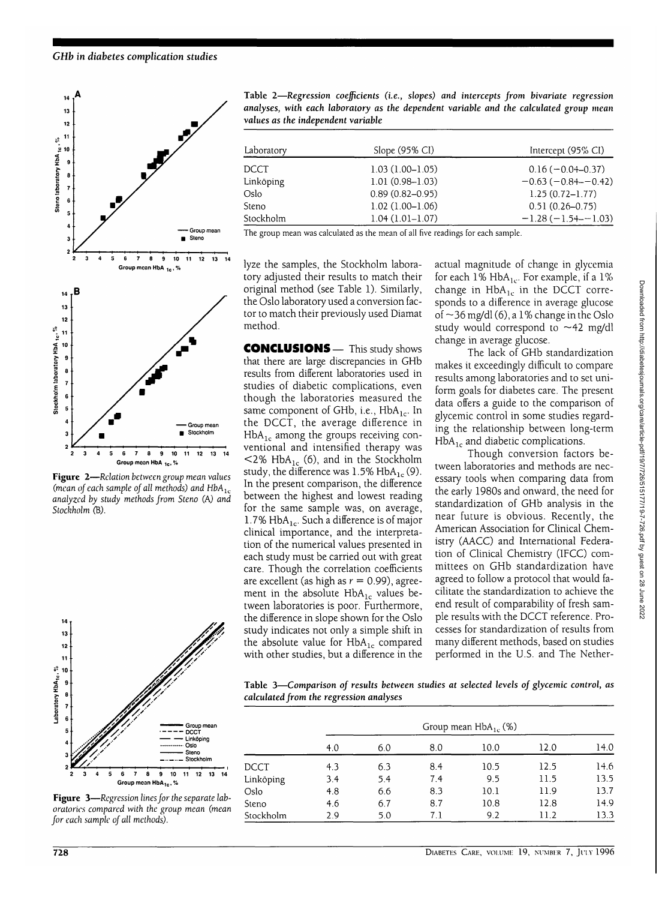

**Figure 2**—Relation *between group mean values (mean of each sample of all methods) and HbA*<sub>1c</sub> *analyzed by study methods from Steno (A) and Stockholm* **(B).**



**Figure 3**—*Regression lines for the separate laboratories compared with the group mean (mean for each sample of all methods).*

**Table 2—***Regression coefficients (i.e., slopes) and intercepts from bivariate regression analyses, with each laboratory as the dependent variable and the calculated group mean values as the independent variable*

| Laboratory | Slope $(95\% \text{ CI})$ | Intercept (95% CI)    |  |  |
|------------|---------------------------|-----------------------|--|--|
| DCCT       | $1.03(1.00 - 1.05)$       | $0.16(-0.04-0.37)$    |  |  |
| Linköping  | $1.01(0.98 - 1.03)$       | $-0.63(-0.84 - 0.42)$ |  |  |
| Oslo       | $0.89(0.82 - 0.95)$       | $1.25(0.72 - 1.77)$   |  |  |
| Steno      | $1.02(1.00-1.06)$         | $0.51(0.26 - 0.75)$   |  |  |
| Stockholm  | $1.04(1.01-1.07)$         | $-1.28(-1.54 - 1.03)$ |  |  |
|            |                           |                       |  |  |

The group mean was calculated as the mean of all five readings for each sample.

lyze the samples, the Stockholm laboratory adjusted their results to match their original method (see Table 1). Similarly, the Oslo laboratory used a conversion factor to match their previously used Diamat method.

CONCLUSIONS— This study shows that there are large discrepancies in GHb results from different laboratories used in studies of diabetic complications, even though the laboratories measured the same component of GHb, i.e.,  $HbA_{1c}$ . In the DCCT, the average difference in  $HbA_{1c}$  among the groups receiving conventional and intensified therapy was  $\leq$ 2% HbA<sub>1c</sub> (6), and in the Stockholm study, the difference was  $1.5\%$  HbA<sub>1c</sub> (9). In the present comparison, the difference between the highest and lowest reading for the same sample was, on average, 1.7%  $HbA_{1c}$ . Such a difference is of major clinical importance, and the interpretation of the numerical values presented in each study must be carried out with great care. Though the correlation coefficients are excellent (as high as  $r = 0.99$ ), agreement in the absolute  $HbA_{1c}$  values between laboratories is poor. Furthermore, the difference in slope shown for the Oslo study indicates not only a simple shift in the absolute value for  $HbA_{1c}$  compared with other studies, but a difference in the actual magnitude of change in glycemia for each  $1\%$  HbA<sub>1c</sub>. For example, if a  $1\%$ change in  $HbA_{1c}$  in the DCCT corresponds to a difference in average glucose of  $\sim$ 36 mg/dl (6), a 1% change in the Oslo study would correspond to  $\sim$  42 mg/dl change in average glucose.

The lack of GHb standardization makes it exceedingly difficult to compare results among laboratories and to set uniform goals for diabetes care. The present data offers a guide to the comparison of glycemic control in some studies regarding the relationship between long-term  $HbA_{1c}$  and diabetic complications.

Though conversion factors between laboratories and methods are necessary tools when comparing data from the early 1980s and onward, the need for standardization of GHb analysis in the near future is obvious. Recently, the American Association for Clinical Chemistry (AACC) and International Federation of Clinical Chemistry (IFCC) committees on GHb standardization have agreed to follow a protocol that would facilitate the standardization to achieve the end result of comparability of fresh sample results with the DCCT reference. Processes for standardization of results from many different methods, based on studies performed in the U.S. and The Nether-

**Table 3—***Comparison of results between studies at selected levels of glycemic control, as calculated from the regression analyses*

|             | Group mean $HbA_{1c}$ (%) |     |     |      |      |      |  |  |  |
|-------------|---------------------------|-----|-----|------|------|------|--|--|--|
|             | 4.0                       | 6.0 | 8.0 | 10.0 | 12.0 | 14.0 |  |  |  |
| <b>DCCT</b> | 4.3                       | 6.3 | 8.4 | 10.5 | 12.5 | 14.6 |  |  |  |
| Linköping   | 3.4                       | 5.4 | 7.4 | 9.5  | 11.5 | 13.5 |  |  |  |
| Oslo        | 4.8                       | 6.6 | 8.3 | 10.1 | 11.9 | 13.7 |  |  |  |
| Steno       | 4.6                       | 6.7 | 8.7 | 10.8 | 12.8 | 14.9 |  |  |  |
| Stockholm   | 2.9                       | 5.0 | 7.1 | 9.2  | 11.2 | 13.3 |  |  |  |